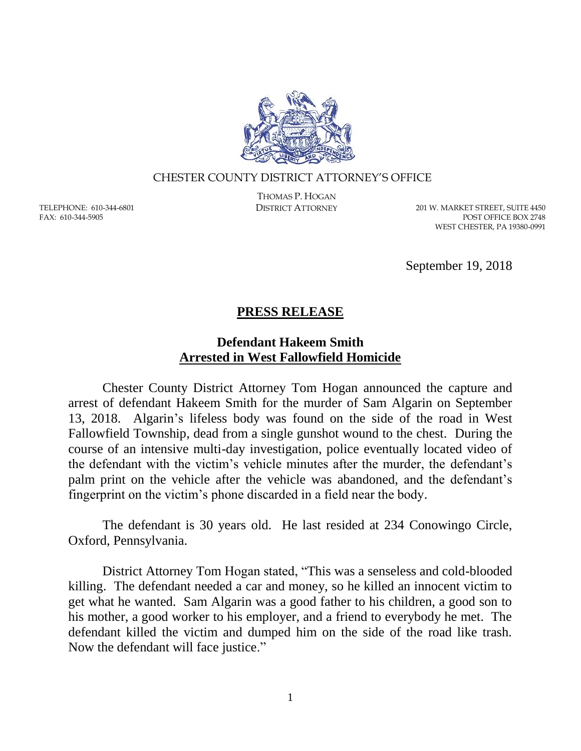

## CHESTER COUNTY DISTRICT ATTORNEY'S OFFICE

TELEPHONE: 610-344-6801 FAX: 610-344-5905

THOMAS P. HOGAN

DISTRICT ATTORNEY 201 W. MARKET STREET, SUITE 4450 POST OFFICE BOX 2748 WEST CHESTER, PA 19380-0991

September 19, 2018

## **PRESS RELEASE**

## **Defendant Hakeem Smith Arrested in West Fallowfield Homicide**

Chester County District Attorney Tom Hogan announced the capture and arrest of defendant Hakeem Smith for the murder of Sam Algarin on September 13, 2018. Algarin's lifeless body was found on the side of the road in West Fallowfield Township, dead from a single gunshot wound to the chest. During the course of an intensive multi-day investigation, police eventually located video of the defendant with the victim's vehicle minutes after the murder, the defendant's palm print on the vehicle after the vehicle was abandoned, and the defendant's fingerprint on the victim's phone discarded in a field near the body.

The defendant is 30 years old. He last resided at 234 Conowingo Circle, Oxford, Pennsylvania.

District Attorney Tom Hogan stated, "This was a senseless and cold-blooded killing. The defendant needed a car and money, so he killed an innocent victim to get what he wanted. Sam Algarin was a good father to his children, a good son to his mother, a good worker to his employer, and a friend to everybody he met. The defendant killed the victim and dumped him on the side of the road like trash. Now the defendant will face justice."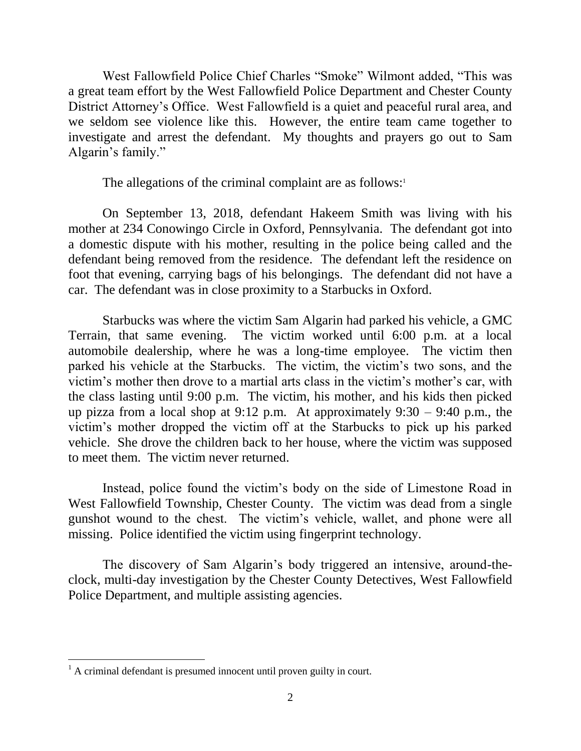West Fallowfield Police Chief Charles "Smoke" Wilmont added, "This was a great team effort by the West Fallowfield Police Department and Chester County District Attorney's Office. West Fallowfield is a quiet and peaceful rural area, and we seldom see violence like this. However, the entire team came together to investigate and arrest the defendant. My thoughts and prayers go out to Sam Algarin's family."

The allegations of the criminal complaint are as follows: $1$ 

On September 13, 2018, defendant Hakeem Smith was living with his mother at 234 Conowingo Circle in Oxford, Pennsylvania. The defendant got into a domestic dispute with his mother, resulting in the police being called and the defendant being removed from the residence. The defendant left the residence on foot that evening, carrying bags of his belongings. The defendant did not have a car. The defendant was in close proximity to a Starbucks in Oxford.

Starbucks was where the victim Sam Algarin had parked his vehicle, a GMC Terrain, that same evening. The victim worked until 6:00 p.m. at a local automobile dealership, where he was a long-time employee. The victim then parked his vehicle at the Starbucks. The victim, the victim's two sons, and the victim's mother then drove to a martial arts class in the victim's mother's car, with the class lasting until 9:00 p.m. The victim, his mother, and his kids then picked up pizza from a local shop at 9:12 p.m. At approximately  $9:30 - 9:40$  p.m., the victim's mother dropped the victim off at the Starbucks to pick up his parked vehicle. She drove the children back to her house, where the victim was supposed to meet them. The victim never returned.

Instead, police found the victim's body on the side of Limestone Road in West Fallowfield Township, Chester County. The victim was dead from a single gunshot wound to the chest. The victim's vehicle, wallet, and phone were all missing. Police identified the victim using fingerprint technology.

The discovery of Sam Algarin's body triggered an intensive, around-theclock, multi-day investigation by the Chester County Detectives, West Fallowfield Police Department, and multiple assisting agencies.

 $\overline{a}$ 

 $<sup>1</sup>$  A criminal defendant is presumed innocent until proven guilty in court.</sup>